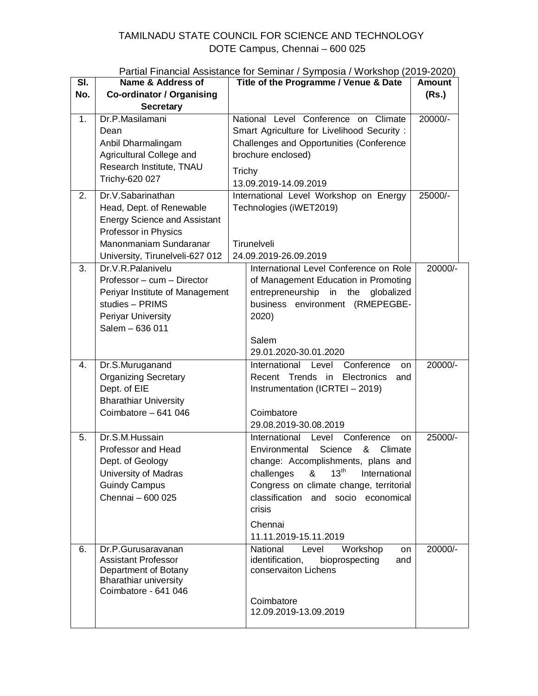## TAMILNADU STATE COUNCIL FOR SCIENCE AND TECHNOLOGY DOTE Campus, Chennai – 600 025

| Partial Financial Assistance for Seminar / Symposia / Workshop (2019-2020) |  |  |  |  |
|----------------------------------------------------------------------------|--|--|--|--|
|----------------------------------------------------------------------------|--|--|--|--|

| SI. | Name & Address of                                | Title of the Programme / Venue & Date                                  | <b>Amount</b> |
|-----|--------------------------------------------------|------------------------------------------------------------------------|---------------|
| No. | <b>Co-ordinator / Organising</b>                 |                                                                        | (Rs.)         |
|     | <b>Secretary</b>                                 |                                                                        |               |
| 1.  | Dr.P.Masilamani                                  | National Level Conference on Climate                                   | 20000/-       |
|     | Dean                                             | Smart Agriculture for Livelihood Security:                             |               |
|     | Anbil Dharmalingam                               | Challenges and Opportunities (Conference                               |               |
|     | Agricultural College and                         | brochure enclosed)                                                     |               |
|     | Research Institute, TNAU                         | Trichy                                                                 |               |
|     | Trichy-620 027                                   | 13.09.2019-14.09.2019                                                  |               |
| 2.  | Dr.V.Sabarinathan                                | International Level Workshop on Energy                                 | 25000/-       |
|     | Head, Dept. of Renewable                         | Technologies (iWET2019)                                                |               |
|     | <b>Energy Science and Assistant</b>              |                                                                        |               |
|     | Professor in Physics                             |                                                                        |               |
|     | Manonmaniam Sundaranar                           | Tirunelveli                                                            |               |
|     | University, Tirunelveli-627 012                  | 24.09.2019-26.09.2019                                                  |               |
| 3.  | Dr.V.R.Palanivelu                                | International Level Conference on Role                                 | 20000/-       |
|     | Professor - cum - Director                       | of Management Education in Promoting                                   |               |
|     | Periyar Institute of Management                  | entrepreneurship in<br>the<br>globalized                               |               |
|     | studies - PRIMS                                  | business environment (RMEPEGBE-                                        |               |
|     | Periyar University                               | 2020)                                                                  |               |
|     | Salem - 636 011                                  |                                                                        |               |
|     |                                                  | Salem                                                                  |               |
|     |                                                  | 29.01.2020-30.01.2020                                                  |               |
| 4.  | Dr.S.Muruganand                                  | Level<br>Conference<br>International<br>on                             | 20000/-       |
|     | <b>Organizing Secretary</b>                      | Recent Trends in<br>Electronics<br>and                                 |               |
|     | Dept. of EIE                                     | Instrumentation (ICRTEI - 2019)                                        |               |
|     | <b>Bharathiar University</b>                     |                                                                        |               |
|     | Coimbatore - 641 046                             | Coimbatore                                                             |               |
|     |                                                  | 29.08.2019-30.08.2019                                                  |               |
| 5.  | Dr.S.M.Hussain                                   | International<br>Level<br>Conference<br>on                             | 25000/-       |
|     | Professor and Head                               | Science<br>&<br>Climate<br>Environmental                               |               |
|     | Dept. of Geology                                 | change: Accomplishments, plans and<br>$\lambda$ 13 <sup>th</sup>       |               |
|     | University of Madras<br><b>Guindy Campus</b>     | challenges<br>International<br>Congress on climate change, territorial |               |
|     | Chennai - 600 025                                | classification and socio economical                                    |               |
|     |                                                  | crisis                                                                 |               |
|     |                                                  |                                                                        |               |
|     |                                                  | Chennai                                                                |               |
|     |                                                  | 11.11.2019-15.11.2019<br>National                                      |               |
| 6.  | Dr.P.Gurusaravanan<br><b>Assistant Professor</b> | Workshop<br>Level<br>on<br>identification,<br>bioprospecting<br>and    | 20000/-       |
|     | Department of Botany                             | conservaiton Lichens                                                   |               |
|     | <b>Bharathiar university</b>                     |                                                                        |               |
|     | Coimbatore - 641 046                             |                                                                        |               |
|     |                                                  | Coimbatore                                                             |               |
|     |                                                  | 12.09.2019-13.09.2019                                                  |               |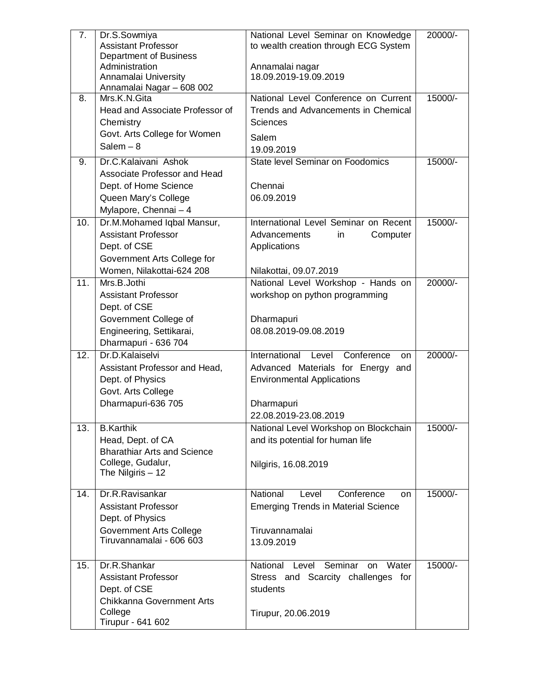| 7.                | Dr.S.Sowmiya                              | National Level Seminar on Knowledge        | 20000/- |
|-------------------|-------------------------------------------|--------------------------------------------|---------|
|                   | <b>Assistant Professor</b>                | to wealth creation through ECG System      |         |
|                   | <b>Department of Business</b>             |                                            |         |
|                   | Administration                            | Annamalai nagar                            |         |
|                   | Annamalai University                      | 18.09.2019-19.09.2019                      |         |
| 8.                | Annamalai Nagar - 608 002<br>Mrs.K.N.Gita | National Level Conference on Current       | 15000/- |
|                   |                                           |                                            |         |
|                   | Head and Associate Professor of           | Trends and Advancements in Chemical        |         |
|                   | Chemistry                                 | <b>Sciences</b>                            |         |
|                   | Govt. Arts College for Women              | Salem                                      |         |
|                   | Salem $-8$                                | 19.09.2019                                 |         |
| 9.                | Dr.C. Kalaivani Ashok                     | State level Seminar on Foodomics           | 15000/- |
|                   | Associate Professor and Head              |                                            |         |
|                   | Dept. of Home Science                     | Chennai                                    |         |
|                   | Queen Mary's College                      | 06.09.2019                                 |         |
|                   | Mylapore, Chennai - 4                     |                                            |         |
| 10.               | Dr.M.Mohamed Iqbal Mansur,                | International Level Seminar on Recent      | 15000/- |
|                   | <b>Assistant Professor</b>                | Advancements<br>Computer<br>in             |         |
|                   | Dept. of CSE                              | Applications                               |         |
|                   | Government Arts College for               |                                            |         |
|                   | Women, Nilakottai-624 208                 | Nilakottai, 09.07.2019                     |         |
| 11.               | Mrs.B.Jothi                               | National Level Workshop - Hands on         | 20000/- |
|                   | <b>Assistant Professor</b>                | workshop on python programming             |         |
|                   | Dept. of CSE                              |                                            |         |
|                   | Government College of                     | Dharmapuri                                 |         |
|                   | Engineering, Settikarai,                  | 08.08.2019-09.08.2019                      |         |
|                   | Dharmapuri - 636 704                      |                                            |         |
| $\overline{12}$ . | Dr.D.Kalaiselvi                           | International Level<br>Conference<br>on    | 20000/- |
|                   | Assistant Professor and Head,             | Advanced Materials for Energy and          |         |
|                   | Dept. of Physics                          | <b>Environmental Applications</b>          |         |
|                   |                                           |                                            |         |
|                   | Govt. Arts College                        |                                            |         |
|                   | Dharmapuri-636 705                        | Dharmapuri                                 |         |
|                   |                                           | 22.08.2019-23.08.2019                      |         |
| 13.               | <b>B.Karthik</b>                          | National Level Workshop on Blockchain      | 15000/- |
|                   | Head, Dept. of CA                         | and its potential for human life           |         |
|                   | <b>Bharathiar Arts and Science</b>        |                                            |         |
|                   | College, Gudalur,<br>The Nilgiris $-12$   | Nilgiris, 16.08.2019                       |         |
|                   |                                           |                                            |         |
| 14.               | Dr.R.Ravisankar                           | National<br>Conference<br>Level<br>on      | 15000/- |
|                   | <b>Assistant Professor</b>                | <b>Emerging Trends in Material Science</b> |         |
|                   | Dept. of Physics                          |                                            |         |
|                   | <b>Government Arts College</b>            | Tiruvannamalai                             |         |
|                   | Tiruvannamalai - 606 603                  | 13.09.2019                                 |         |
|                   |                                           |                                            |         |
| 15.               | Dr.R.Shankar                              | National Level<br>Seminar<br>Water<br>on   | 15000/- |
|                   | <b>Assistant Professor</b>                | Stress and Scarcity challenges for         |         |
|                   | Dept. of CSE                              | students                                   |         |
|                   | Chikkanna Government Arts                 |                                            |         |
|                   | College                                   | Tirupur, 20.06.2019                        |         |
|                   |                                           |                                            |         |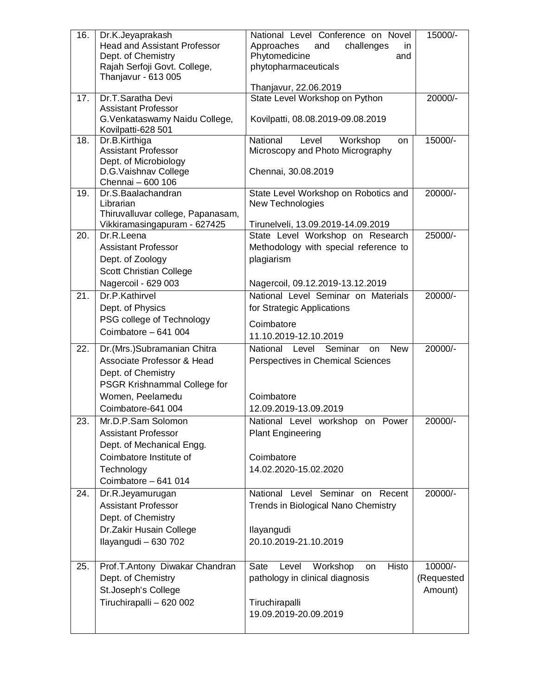| 16.             | Dr.K.Jeyaprakash<br><b>Head and Assistant Professor</b> | National Level Conference on Novel<br>Approaches<br>and<br>in. | 15000/-      |
|-----------------|---------------------------------------------------------|----------------------------------------------------------------|--------------|
|                 | Dept. of Chemistry                                      | challenges<br>Phytomedicine<br>and                             |              |
|                 | Rajah Serfoji Govt. College,                            | phytopharmaceuticals                                           |              |
|                 | Thanjavur - 613 005                                     |                                                                |              |
|                 |                                                         | Thanjavur, 22.06.2019                                          |              |
| 17 <sub>1</sub> | Dr.T.Saratha Devi                                       | State Level Workshop on Python                                 | 20000/-      |
|                 | <b>Assistant Professor</b>                              |                                                                |              |
|                 | G. Venkataswamy Naidu College,<br>Kovilpatti-628 501    | Kovilpatti, 08.08.2019-09.08.2019                              |              |
| 18.             | Dr.B.Kirthiga                                           | National<br>Level<br>Workshop<br>on                            | 15000/-      |
|                 | <b>Assistant Professor</b>                              | Microscopy and Photo Micrography                               |              |
|                 | Dept. of Microbiology                                   |                                                                |              |
|                 | D.G. Vaishnav College                                   | Chennai, 30.08.2019                                            |              |
| 19.             | Chennai - 600 106<br>Dr.S.Baalachandran                 |                                                                | 20000/-      |
|                 | Librarian                                               | State Level Workshop on Robotics and<br>New Technologies       |              |
|                 | Thiruvalluvar college, Papanasam,                       |                                                                |              |
|                 | Vikkiramasingapuram - 627425                            | Tirunelveli, 13.09.2019-14.09.2019                             |              |
| 20.             | Dr.R.Leena                                              | State Level Workshop on Research                               | 25000/-      |
|                 | <b>Assistant Professor</b>                              | Methodology with special reference to                          |              |
|                 | Dept. of Zoology                                        | plagiarism                                                     |              |
|                 | Scott Christian College                                 |                                                                |              |
|                 | Nagercoil - 629 003                                     | Nagercoil, 09.12.2019-13.12.2019                               |              |
| 21.             | Dr.P.Kathirvel                                          | National Level Seminar on Materials                            | 20000/-      |
|                 | Dept. of Physics                                        | for Strategic Applications                                     |              |
|                 | PSG college of Technology                               | Coimbatore                                                     |              |
|                 | Coimbatore - 641 004                                    | 11.10.2019-12.10.2019                                          |              |
| 22.             | Dr.(Mrs.)Subramanian Chitra                             | Seminar<br>National Level<br><b>New</b><br>on                  | $20000^{-7}$ |
|                 | Associate Professor & Head                              | Perspectives in Chemical Sciences                              |              |
|                 | Dept. of Chemistry                                      |                                                                |              |
|                 | <b>PSGR Krishnammal College for</b>                     |                                                                |              |
|                 | Women, Peelamedu                                        | Coimbatore                                                     |              |
|                 | Coimbatore-641 004                                      | 12.09.2019-13.09.2019                                          |              |
| 23              | Mr.D.P.Sam Solomon                                      | National Level workshop on Power                               | 20000/-      |
|                 | <b>Assistant Professor</b>                              | <b>Plant Engineering</b>                                       |              |
|                 | Dept. of Mechanical Engg.                               |                                                                |              |
|                 | Coimbatore Institute of                                 | Coimbatore                                                     |              |
|                 | Technology<br>Coimbatore - 641 014                      | 14.02.2020-15.02.2020                                          |              |
|                 |                                                         | National Level Seminar on Recent                               | 20000/-      |
| 24.             | Dr.R.Jeyamurugan<br><b>Assistant Professor</b>          | Trends in Biological Nano Chemistry                            |              |
|                 | Dept. of Chemistry                                      |                                                                |              |
|                 | Dr.Zakir Husain College                                 | Ilayangudi                                                     |              |
|                 | Ilayangudi - 630 702                                    | 20.10.2019-21.10.2019                                          |              |
|                 |                                                         |                                                                |              |
| 25.             | Prof.T.Antony Diwakar Chandran                          | Histo<br>Sate<br>Workshop<br>Level<br>on                       | 10000/-      |
|                 | Dept. of Chemistry                                      | pathology in clinical diagnosis                                | (Requested   |
|                 | St.Joseph's College                                     |                                                                | Amount)      |
|                 | Tiruchirapalli - 620 002                                | Tiruchirapalli                                                 |              |
|                 |                                                         | 19.09.2019-20.09.2019                                          |              |
|                 |                                                         |                                                                |              |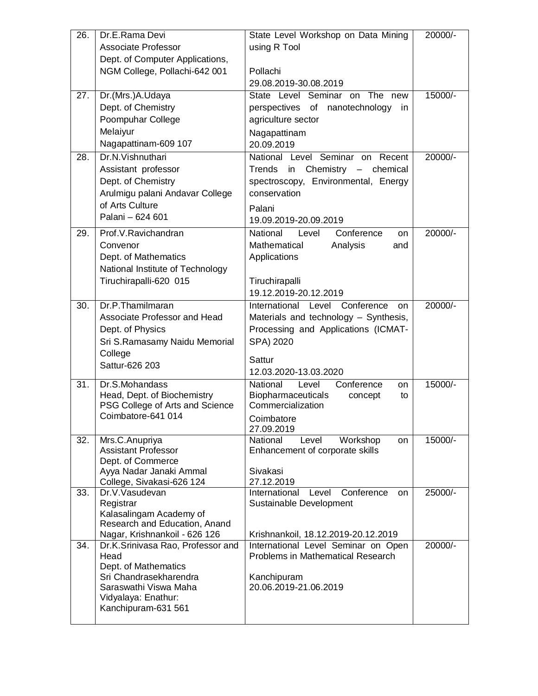| <b>Associate Professor</b><br>using R Tool<br>Dept. of Computer Applications,<br>NGM College, Pollachi-642 001<br>Pollachi<br>29.08.2019-30.08.2019<br>$\overline{27}$ .<br>Dr.(Mrs.)A.Udaya<br>State Level Seminar on<br>The new<br>15000/-<br>Dept. of Chemistry<br>perspectives of<br>nanotechnology<br>in<br>Poompuhar College<br>agriculture sector<br>Melaiyur<br>Nagapattinam<br>Nagapattinam-609 107<br>20.09.2019<br>Dr.N. Vishnuthari<br>20000/-<br>28.<br>National Level Seminar on Recent<br>Assistant professor<br>Trends<br>Chemistry - chemical<br>in<br>Dept. of Chemistry<br>spectroscopy, Environmental, Energy<br>Arulmigu palani Andavar College<br>conservation<br>of Arts Culture<br>Palani<br>Palani - 624 601<br>19.09.2019-20.09.2019<br>Prof.V.Ravichandran<br>29.<br>National<br>Conference<br>20000/-<br>Level<br>on<br>Mathematical<br>Analysis<br>Convenor<br>and<br>Dept. of Mathematics<br>Applications<br>National Institute of Technology<br>Tiruchirapalli-620 015<br>Tiruchirapalli<br>19.12.2019-20.12.2019<br>Dr.P.Thamilmaran<br>20000/-<br>30.<br>International<br>Level<br>Conference<br>on<br>Materials and technology - Synthesis,<br>Associate Professor and Head<br>Processing and Applications (ICMAT-<br>Dept. of Physics<br>SPA) 2020<br>Sri S.Ramasamy Naidu Memorial<br>College<br>Sattur<br>Sattur-626 203<br>12.03.2020-13.03.2020<br>15000/-<br>31.<br>Dr.S.Mohandass<br>National<br>Level<br>Conference<br>on<br>Head, Dept. of Biochemistry<br><b>Biopharmaceuticals</b><br>concept<br>to<br>PSG College of Arts and Science<br>Commercialization<br>Coimbatore-641 014<br>Coimbatore<br>27.09.2019<br>15000/-<br>32.<br>Mrs.C.Anupriya<br>National<br>Workshop<br>Level<br>on<br><b>Assistant Professor</b><br>Enhancement of corporate skills<br>Dept. of Commerce<br>Ayya Nadar Janaki Ammal<br>Sivakasi<br>27.12.2019<br>College, Sivakasi-626 124<br>33.<br>Dr.V.Vasudevan<br>Conference<br>International<br>Level<br>25000/-<br>on<br>Registrar<br>Sustainable Development<br>Kalasalingam Academy of<br>Research and Education, Anand<br>Nagar, Krishnankoil - 626 126<br>Krishnankoil, 18.12.2019-20.12.2019<br>34.<br>20000/-<br>Dr.K.Srinivasa Rao, Professor and<br>International Level Seminar on Open<br>Head<br><b>Problems in Mathematical Research</b><br>Dept. of Mathematics<br>Sri Chandrasekharendra<br>Kanchipuram<br>20.06.2019-21.06.2019<br>Saraswathi Viswa Maha<br>Vidyalaya: Enathur:<br>Kanchipuram-631 561 | 26. | Dr.E.Rama Devi | State Level Workshop on Data Mining | 20000/- |
|------------------------------------------------------------------------------------------------------------------------------------------------------------------------------------------------------------------------------------------------------------------------------------------------------------------------------------------------------------------------------------------------------------------------------------------------------------------------------------------------------------------------------------------------------------------------------------------------------------------------------------------------------------------------------------------------------------------------------------------------------------------------------------------------------------------------------------------------------------------------------------------------------------------------------------------------------------------------------------------------------------------------------------------------------------------------------------------------------------------------------------------------------------------------------------------------------------------------------------------------------------------------------------------------------------------------------------------------------------------------------------------------------------------------------------------------------------------------------------------------------------------------------------------------------------------------------------------------------------------------------------------------------------------------------------------------------------------------------------------------------------------------------------------------------------------------------------------------------------------------------------------------------------------------------------------------------------------------------------------------------------------------------------------------------------------------------------------------------------------------------------------------------------------------------------------------------------------------------------------------------------------------------------------------------------------------------------------------------------------------------------------------------------------------------------------------------------------------------------------------|-----|----------------|-------------------------------------|---------|
|                                                                                                                                                                                                                                                                                                                                                                                                                                                                                                                                                                                                                                                                                                                                                                                                                                                                                                                                                                                                                                                                                                                                                                                                                                                                                                                                                                                                                                                                                                                                                                                                                                                                                                                                                                                                                                                                                                                                                                                                                                                                                                                                                                                                                                                                                                                                                                                                                                                                                                |     |                |                                     |         |
|                                                                                                                                                                                                                                                                                                                                                                                                                                                                                                                                                                                                                                                                                                                                                                                                                                                                                                                                                                                                                                                                                                                                                                                                                                                                                                                                                                                                                                                                                                                                                                                                                                                                                                                                                                                                                                                                                                                                                                                                                                                                                                                                                                                                                                                                                                                                                                                                                                                                                                |     |                |                                     |         |
|                                                                                                                                                                                                                                                                                                                                                                                                                                                                                                                                                                                                                                                                                                                                                                                                                                                                                                                                                                                                                                                                                                                                                                                                                                                                                                                                                                                                                                                                                                                                                                                                                                                                                                                                                                                                                                                                                                                                                                                                                                                                                                                                                                                                                                                                                                                                                                                                                                                                                                |     |                |                                     |         |
|                                                                                                                                                                                                                                                                                                                                                                                                                                                                                                                                                                                                                                                                                                                                                                                                                                                                                                                                                                                                                                                                                                                                                                                                                                                                                                                                                                                                                                                                                                                                                                                                                                                                                                                                                                                                                                                                                                                                                                                                                                                                                                                                                                                                                                                                                                                                                                                                                                                                                                |     |                |                                     |         |
|                                                                                                                                                                                                                                                                                                                                                                                                                                                                                                                                                                                                                                                                                                                                                                                                                                                                                                                                                                                                                                                                                                                                                                                                                                                                                                                                                                                                                                                                                                                                                                                                                                                                                                                                                                                                                                                                                                                                                                                                                                                                                                                                                                                                                                                                                                                                                                                                                                                                                                |     |                |                                     |         |
|                                                                                                                                                                                                                                                                                                                                                                                                                                                                                                                                                                                                                                                                                                                                                                                                                                                                                                                                                                                                                                                                                                                                                                                                                                                                                                                                                                                                                                                                                                                                                                                                                                                                                                                                                                                                                                                                                                                                                                                                                                                                                                                                                                                                                                                                                                                                                                                                                                                                                                |     |                |                                     |         |
|                                                                                                                                                                                                                                                                                                                                                                                                                                                                                                                                                                                                                                                                                                                                                                                                                                                                                                                                                                                                                                                                                                                                                                                                                                                                                                                                                                                                                                                                                                                                                                                                                                                                                                                                                                                                                                                                                                                                                                                                                                                                                                                                                                                                                                                                                                                                                                                                                                                                                                |     |                |                                     |         |
|                                                                                                                                                                                                                                                                                                                                                                                                                                                                                                                                                                                                                                                                                                                                                                                                                                                                                                                                                                                                                                                                                                                                                                                                                                                                                                                                                                                                                                                                                                                                                                                                                                                                                                                                                                                                                                                                                                                                                                                                                                                                                                                                                                                                                                                                                                                                                                                                                                                                                                |     |                |                                     |         |
|                                                                                                                                                                                                                                                                                                                                                                                                                                                                                                                                                                                                                                                                                                                                                                                                                                                                                                                                                                                                                                                                                                                                                                                                                                                                                                                                                                                                                                                                                                                                                                                                                                                                                                                                                                                                                                                                                                                                                                                                                                                                                                                                                                                                                                                                                                                                                                                                                                                                                                |     |                |                                     |         |
|                                                                                                                                                                                                                                                                                                                                                                                                                                                                                                                                                                                                                                                                                                                                                                                                                                                                                                                                                                                                                                                                                                                                                                                                                                                                                                                                                                                                                                                                                                                                                                                                                                                                                                                                                                                                                                                                                                                                                                                                                                                                                                                                                                                                                                                                                                                                                                                                                                                                                                |     |                |                                     |         |
|                                                                                                                                                                                                                                                                                                                                                                                                                                                                                                                                                                                                                                                                                                                                                                                                                                                                                                                                                                                                                                                                                                                                                                                                                                                                                                                                                                                                                                                                                                                                                                                                                                                                                                                                                                                                                                                                                                                                                                                                                                                                                                                                                                                                                                                                                                                                                                                                                                                                                                |     |                |                                     |         |
|                                                                                                                                                                                                                                                                                                                                                                                                                                                                                                                                                                                                                                                                                                                                                                                                                                                                                                                                                                                                                                                                                                                                                                                                                                                                                                                                                                                                                                                                                                                                                                                                                                                                                                                                                                                                                                                                                                                                                                                                                                                                                                                                                                                                                                                                                                                                                                                                                                                                                                |     |                |                                     |         |
|                                                                                                                                                                                                                                                                                                                                                                                                                                                                                                                                                                                                                                                                                                                                                                                                                                                                                                                                                                                                                                                                                                                                                                                                                                                                                                                                                                                                                                                                                                                                                                                                                                                                                                                                                                                                                                                                                                                                                                                                                                                                                                                                                                                                                                                                                                                                                                                                                                                                                                |     |                |                                     |         |
|                                                                                                                                                                                                                                                                                                                                                                                                                                                                                                                                                                                                                                                                                                                                                                                                                                                                                                                                                                                                                                                                                                                                                                                                                                                                                                                                                                                                                                                                                                                                                                                                                                                                                                                                                                                                                                                                                                                                                                                                                                                                                                                                                                                                                                                                                                                                                                                                                                                                                                |     |                |                                     |         |
|                                                                                                                                                                                                                                                                                                                                                                                                                                                                                                                                                                                                                                                                                                                                                                                                                                                                                                                                                                                                                                                                                                                                                                                                                                                                                                                                                                                                                                                                                                                                                                                                                                                                                                                                                                                                                                                                                                                                                                                                                                                                                                                                                                                                                                                                                                                                                                                                                                                                                                |     |                |                                     |         |
|                                                                                                                                                                                                                                                                                                                                                                                                                                                                                                                                                                                                                                                                                                                                                                                                                                                                                                                                                                                                                                                                                                                                                                                                                                                                                                                                                                                                                                                                                                                                                                                                                                                                                                                                                                                                                                                                                                                                                                                                                                                                                                                                                                                                                                                                                                                                                                                                                                                                                                |     |                |                                     |         |
|                                                                                                                                                                                                                                                                                                                                                                                                                                                                                                                                                                                                                                                                                                                                                                                                                                                                                                                                                                                                                                                                                                                                                                                                                                                                                                                                                                                                                                                                                                                                                                                                                                                                                                                                                                                                                                                                                                                                                                                                                                                                                                                                                                                                                                                                                                                                                                                                                                                                                                |     |                |                                     |         |
|                                                                                                                                                                                                                                                                                                                                                                                                                                                                                                                                                                                                                                                                                                                                                                                                                                                                                                                                                                                                                                                                                                                                                                                                                                                                                                                                                                                                                                                                                                                                                                                                                                                                                                                                                                                                                                                                                                                                                                                                                                                                                                                                                                                                                                                                                                                                                                                                                                                                                                |     |                |                                     |         |
|                                                                                                                                                                                                                                                                                                                                                                                                                                                                                                                                                                                                                                                                                                                                                                                                                                                                                                                                                                                                                                                                                                                                                                                                                                                                                                                                                                                                                                                                                                                                                                                                                                                                                                                                                                                                                                                                                                                                                                                                                                                                                                                                                                                                                                                                                                                                                                                                                                                                                                |     |                |                                     |         |
|                                                                                                                                                                                                                                                                                                                                                                                                                                                                                                                                                                                                                                                                                                                                                                                                                                                                                                                                                                                                                                                                                                                                                                                                                                                                                                                                                                                                                                                                                                                                                                                                                                                                                                                                                                                                                                                                                                                                                                                                                                                                                                                                                                                                                                                                                                                                                                                                                                                                                                |     |                |                                     |         |
|                                                                                                                                                                                                                                                                                                                                                                                                                                                                                                                                                                                                                                                                                                                                                                                                                                                                                                                                                                                                                                                                                                                                                                                                                                                                                                                                                                                                                                                                                                                                                                                                                                                                                                                                                                                                                                                                                                                                                                                                                                                                                                                                                                                                                                                                                                                                                                                                                                                                                                |     |                |                                     |         |
|                                                                                                                                                                                                                                                                                                                                                                                                                                                                                                                                                                                                                                                                                                                                                                                                                                                                                                                                                                                                                                                                                                                                                                                                                                                                                                                                                                                                                                                                                                                                                                                                                                                                                                                                                                                                                                                                                                                                                                                                                                                                                                                                                                                                                                                                                                                                                                                                                                                                                                |     |                |                                     |         |
|                                                                                                                                                                                                                                                                                                                                                                                                                                                                                                                                                                                                                                                                                                                                                                                                                                                                                                                                                                                                                                                                                                                                                                                                                                                                                                                                                                                                                                                                                                                                                                                                                                                                                                                                                                                                                                                                                                                                                                                                                                                                                                                                                                                                                                                                                                                                                                                                                                                                                                |     |                |                                     |         |
|                                                                                                                                                                                                                                                                                                                                                                                                                                                                                                                                                                                                                                                                                                                                                                                                                                                                                                                                                                                                                                                                                                                                                                                                                                                                                                                                                                                                                                                                                                                                                                                                                                                                                                                                                                                                                                                                                                                                                                                                                                                                                                                                                                                                                                                                                                                                                                                                                                                                                                |     |                |                                     |         |
|                                                                                                                                                                                                                                                                                                                                                                                                                                                                                                                                                                                                                                                                                                                                                                                                                                                                                                                                                                                                                                                                                                                                                                                                                                                                                                                                                                                                                                                                                                                                                                                                                                                                                                                                                                                                                                                                                                                                                                                                                                                                                                                                                                                                                                                                                                                                                                                                                                                                                                |     |                |                                     |         |
|                                                                                                                                                                                                                                                                                                                                                                                                                                                                                                                                                                                                                                                                                                                                                                                                                                                                                                                                                                                                                                                                                                                                                                                                                                                                                                                                                                                                                                                                                                                                                                                                                                                                                                                                                                                                                                                                                                                                                                                                                                                                                                                                                                                                                                                                                                                                                                                                                                                                                                |     |                |                                     |         |
|                                                                                                                                                                                                                                                                                                                                                                                                                                                                                                                                                                                                                                                                                                                                                                                                                                                                                                                                                                                                                                                                                                                                                                                                                                                                                                                                                                                                                                                                                                                                                                                                                                                                                                                                                                                                                                                                                                                                                                                                                                                                                                                                                                                                                                                                                                                                                                                                                                                                                                |     |                |                                     |         |
|                                                                                                                                                                                                                                                                                                                                                                                                                                                                                                                                                                                                                                                                                                                                                                                                                                                                                                                                                                                                                                                                                                                                                                                                                                                                                                                                                                                                                                                                                                                                                                                                                                                                                                                                                                                                                                                                                                                                                                                                                                                                                                                                                                                                                                                                                                                                                                                                                                                                                                |     |                |                                     |         |
|                                                                                                                                                                                                                                                                                                                                                                                                                                                                                                                                                                                                                                                                                                                                                                                                                                                                                                                                                                                                                                                                                                                                                                                                                                                                                                                                                                                                                                                                                                                                                                                                                                                                                                                                                                                                                                                                                                                                                                                                                                                                                                                                                                                                                                                                                                                                                                                                                                                                                                |     |                |                                     |         |
|                                                                                                                                                                                                                                                                                                                                                                                                                                                                                                                                                                                                                                                                                                                                                                                                                                                                                                                                                                                                                                                                                                                                                                                                                                                                                                                                                                                                                                                                                                                                                                                                                                                                                                                                                                                                                                                                                                                                                                                                                                                                                                                                                                                                                                                                                                                                                                                                                                                                                                |     |                |                                     |         |
|                                                                                                                                                                                                                                                                                                                                                                                                                                                                                                                                                                                                                                                                                                                                                                                                                                                                                                                                                                                                                                                                                                                                                                                                                                                                                                                                                                                                                                                                                                                                                                                                                                                                                                                                                                                                                                                                                                                                                                                                                                                                                                                                                                                                                                                                                                                                                                                                                                                                                                |     |                |                                     |         |
|                                                                                                                                                                                                                                                                                                                                                                                                                                                                                                                                                                                                                                                                                                                                                                                                                                                                                                                                                                                                                                                                                                                                                                                                                                                                                                                                                                                                                                                                                                                                                                                                                                                                                                                                                                                                                                                                                                                                                                                                                                                                                                                                                                                                                                                                                                                                                                                                                                                                                                |     |                |                                     |         |
|                                                                                                                                                                                                                                                                                                                                                                                                                                                                                                                                                                                                                                                                                                                                                                                                                                                                                                                                                                                                                                                                                                                                                                                                                                                                                                                                                                                                                                                                                                                                                                                                                                                                                                                                                                                                                                                                                                                                                                                                                                                                                                                                                                                                                                                                                                                                                                                                                                                                                                |     |                |                                     |         |
|                                                                                                                                                                                                                                                                                                                                                                                                                                                                                                                                                                                                                                                                                                                                                                                                                                                                                                                                                                                                                                                                                                                                                                                                                                                                                                                                                                                                                                                                                                                                                                                                                                                                                                                                                                                                                                                                                                                                                                                                                                                                                                                                                                                                                                                                                                                                                                                                                                                                                                |     |                |                                     |         |
|                                                                                                                                                                                                                                                                                                                                                                                                                                                                                                                                                                                                                                                                                                                                                                                                                                                                                                                                                                                                                                                                                                                                                                                                                                                                                                                                                                                                                                                                                                                                                                                                                                                                                                                                                                                                                                                                                                                                                                                                                                                                                                                                                                                                                                                                                                                                                                                                                                                                                                |     |                |                                     |         |
|                                                                                                                                                                                                                                                                                                                                                                                                                                                                                                                                                                                                                                                                                                                                                                                                                                                                                                                                                                                                                                                                                                                                                                                                                                                                                                                                                                                                                                                                                                                                                                                                                                                                                                                                                                                                                                                                                                                                                                                                                                                                                                                                                                                                                                                                                                                                                                                                                                                                                                |     |                |                                     |         |
|                                                                                                                                                                                                                                                                                                                                                                                                                                                                                                                                                                                                                                                                                                                                                                                                                                                                                                                                                                                                                                                                                                                                                                                                                                                                                                                                                                                                                                                                                                                                                                                                                                                                                                                                                                                                                                                                                                                                                                                                                                                                                                                                                                                                                                                                                                                                                                                                                                                                                                |     |                |                                     |         |
|                                                                                                                                                                                                                                                                                                                                                                                                                                                                                                                                                                                                                                                                                                                                                                                                                                                                                                                                                                                                                                                                                                                                                                                                                                                                                                                                                                                                                                                                                                                                                                                                                                                                                                                                                                                                                                                                                                                                                                                                                                                                                                                                                                                                                                                                                                                                                                                                                                                                                                |     |                |                                     |         |
|                                                                                                                                                                                                                                                                                                                                                                                                                                                                                                                                                                                                                                                                                                                                                                                                                                                                                                                                                                                                                                                                                                                                                                                                                                                                                                                                                                                                                                                                                                                                                                                                                                                                                                                                                                                                                                                                                                                                                                                                                                                                                                                                                                                                                                                                                                                                                                                                                                                                                                |     |                |                                     |         |
|                                                                                                                                                                                                                                                                                                                                                                                                                                                                                                                                                                                                                                                                                                                                                                                                                                                                                                                                                                                                                                                                                                                                                                                                                                                                                                                                                                                                                                                                                                                                                                                                                                                                                                                                                                                                                                                                                                                                                                                                                                                                                                                                                                                                                                                                                                                                                                                                                                                                                                |     |                |                                     |         |
|                                                                                                                                                                                                                                                                                                                                                                                                                                                                                                                                                                                                                                                                                                                                                                                                                                                                                                                                                                                                                                                                                                                                                                                                                                                                                                                                                                                                                                                                                                                                                                                                                                                                                                                                                                                                                                                                                                                                                                                                                                                                                                                                                                                                                                                                                                                                                                                                                                                                                                |     |                |                                     |         |
|                                                                                                                                                                                                                                                                                                                                                                                                                                                                                                                                                                                                                                                                                                                                                                                                                                                                                                                                                                                                                                                                                                                                                                                                                                                                                                                                                                                                                                                                                                                                                                                                                                                                                                                                                                                                                                                                                                                                                                                                                                                                                                                                                                                                                                                                                                                                                                                                                                                                                                |     |                |                                     |         |
|                                                                                                                                                                                                                                                                                                                                                                                                                                                                                                                                                                                                                                                                                                                                                                                                                                                                                                                                                                                                                                                                                                                                                                                                                                                                                                                                                                                                                                                                                                                                                                                                                                                                                                                                                                                                                                                                                                                                                                                                                                                                                                                                                                                                                                                                                                                                                                                                                                                                                                |     |                |                                     |         |
|                                                                                                                                                                                                                                                                                                                                                                                                                                                                                                                                                                                                                                                                                                                                                                                                                                                                                                                                                                                                                                                                                                                                                                                                                                                                                                                                                                                                                                                                                                                                                                                                                                                                                                                                                                                                                                                                                                                                                                                                                                                                                                                                                                                                                                                                                                                                                                                                                                                                                                |     |                |                                     |         |
|                                                                                                                                                                                                                                                                                                                                                                                                                                                                                                                                                                                                                                                                                                                                                                                                                                                                                                                                                                                                                                                                                                                                                                                                                                                                                                                                                                                                                                                                                                                                                                                                                                                                                                                                                                                                                                                                                                                                                                                                                                                                                                                                                                                                                                                                                                                                                                                                                                                                                                |     |                |                                     |         |
|                                                                                                                                                                                                                                                                                                                                                                                                                                                                                                                                                                                                                                                                                                                                                                                                                                                                                                                                                                                                                                                                                                                                                                                                                                                                                                                                                                                                                                                                                                                                                                                                                                                                                                                                                                                                                                                                                                                                                                                                                                                                                                                                                                                                                                                                                                                                                                                                                                                                                                |     |                |                                     |         |
|                                                                                                                                                                                                                                                                                                                                                                                                                                                                                                                                                                                                                                                                                                                                                                                                                                                                                                                                                                                                                                                                                                                                                                                                                                                                                                                                                                                                                                                                                                                                                                                                                                                                                                                                                                                                                                                                                                                                                                                                                                                                                                                                                                                                                                                                                                                                                                                                                                                                                                |     |                |                                     |         |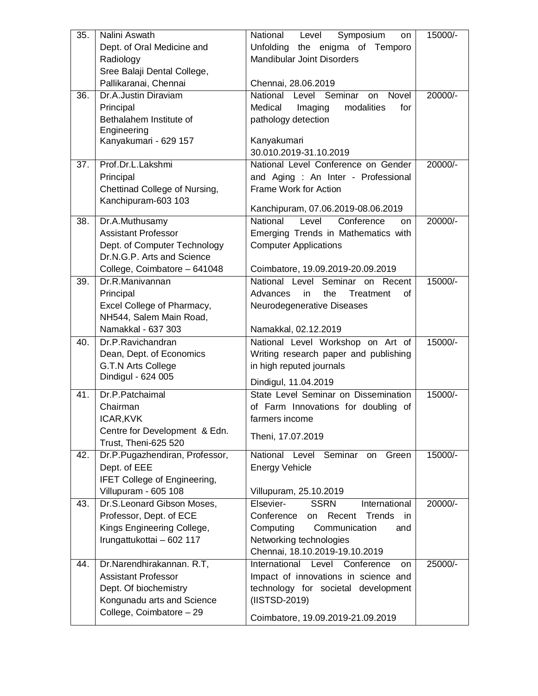| $\overline{35}$ . | Nalini Aswath                            | National<br>Symposium<br>Level<br>on        | 15000/- |
|-------------------|------------------------------------------|---------------------------------------------|---------|
|                   | Dept. of Oral Medicine and               | Unfolding the enigma of Temporo             |         |
|                   | Radiology                                | <b>Mandibular Joint Disorders</b>           |         |
|                   | Sree Balaji Dental College,              |                                             |         |
|                   | Pallikaranai, Chennai                    | Chennai, 28.06.2019                         |         |
| $\overline{36}$ . | Dr.A.Justin Diraviam                     | National Level Seminar<br>Novel<br>on       | 20000/- |
|                   | Principal                                | for<br>Medical<br>modalities<br>Imaging     |         |
|                   | Bethalahem Institute of                  | pathology detection                         |         |
|                   | Engineering                              |                                             |         |
|                   | Kanyakumari - 629 157                    | Kanyakumari                                 |         |
|                   |                                          | 30.010.2019-31.10.2019                      |         |
| 37.               | Prof.Dr.L.Lakshmi                        | National Level Conference on Gender         | 20000/- |
|                   | Principal                                | and Aging : An Inter - Professional         |         |
|                   | Chettinad College of Nursing,            | Frame Work for Action                       |         |
|                   | Kanchipuram-603 103                      |                                             |         |
|                   |                                          | Kanchipuram, 07.06.2019-08.06.2019          |         |
| 38.               | Dr.A.Muthusamy                           | Conference<br>National<br>Level<br>on       | 20000/- |
|                   | <b>Assistant Professor</b>               | Emerging Trends in Mathematics with         |         |
|                   | Dept. of Computer Technology             | <b>Computer Applications</b>                |         |
|                   | Dr.N.G.P. Arts and Science               |                                             |         |
|                   | College, Coimbatore - 641048             | Coimbatore, 19.09.2019-20.09.2019           |         |
| 39.               | Dr.R.Manivannan                          | National Level Seminar on<br>Recent         | 15000/- |
|                   | Principal                                | Advances<br>the<br>in<br>Treatment<br>οf    |         |
|                   | Excel College of Pharmacy,               | Neurodegenerative Diseases                  |         |
|                   | NH544, Salem Main Road,                  |                                             |         |
|                   | Namakkal - 637 303                       | Namakkal, 02.12.2019                        |         |
| 40.               | Dr.P.Ravichandran                        | National Level Workshop on Art of           | 15000/- |
|                   | Dean, Dept. of Economics                 | Writing research paper and publishing       |         |
|                   | G.T.N Arts College<br>Dindigul - 624 005 | in high reputed journals                    |         |
|                   |                                          | Dindigul, 11.04.2019                        |         |
| 41.               | Dr.P.Patchaimal                          | State Level Seminar on Dissemination        | 15000/- |
|                   | Chairman                                 | of Farm Innovations for doubling of         |         |
|                   | ICAR, KVK                                | farmers income                              |         |
|                   | Centre for Development & Edn.            | Theni, 17.07.2019                           |         |
|                   | Trust, Theni-625 520                     |                                             |         |
| 42.               | Dr.P.Pugazhendiran, Professor,           | National Level<br>Seminar<br>Green<br>on    | 15000/- |
|                   | Dept. of EEE                             | <b>Energy Vehicle</b>                       |         |
|                   | <b>IFET College of Engineering,</b>      |                                             |         |
|                   | Villupuram - 605 108                     | Villupuram, 25.10.2019                      |         |
| 43.               | Dr.S.Leonard Gibson Moses,               | Elsevier-<br><b>SSRN</b><br>International   | 20000/- |
|                   | Professor, Dept. of ECE                  | Conference<br>Recent<br>Trends<br>on<br>-in |         |
|                   | Kings Engineering College,               | Computing<br>Communication<br>and           |         |
|                   | Irungattukottai - 602 117                | Networking technologies                     |         |
|                   |                                          | Chennai, 18.10.2019-19.10.2019              |         |
| 44.               | Dr.Narendhirakannan. R.T,                | International Level<br>Conference<br>on     | 25000/- |
|                   | <b>Assistant Professor</b>               | Impact of innovations in science and        |         |
|                   | Dept. Of biochemistry                    | technology for societal development         |         |
|                   | Kongunadu arts and Science               | (IISTSD-2019)                               |         |
|                   | College, Coimbatore - 29                 | Coimbatore, 19.09.2019-21.09.2019           |         |
|                   |                                          |                                             |         |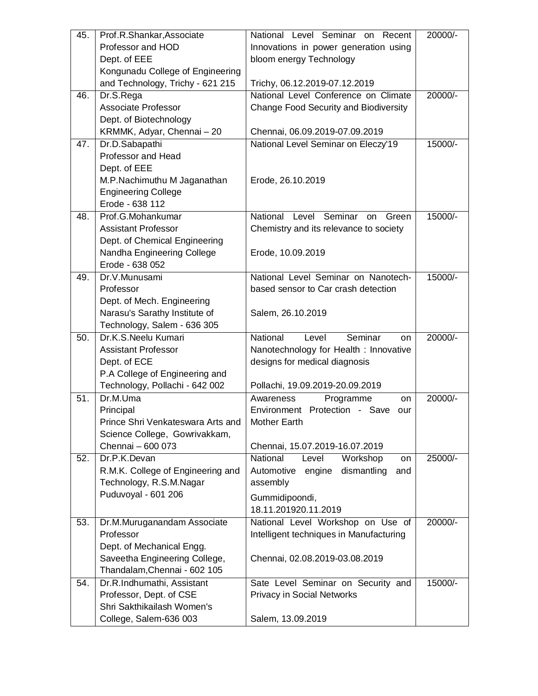| 45. | Prof.R.Shankar,Associate                                      | National Level Seminar on<br>Recent                                   | 20000/- |
|-----|---------------------------------------------------------------|-----------------------------------------------------------------------|---------|
|     | Professor and HOD                                             | Innovations in power generation using                                 |         |
|     | Dept. of EEE                                                  | bloom energy Technology                                               |         |
|     | Kongunadu College of Engineering                              |                                                                       |         |
|     | and Technology, Trichy - 621 215                              | Trichy, 06.12.2019-07.12.2019                                         |         |
| 46. | Dr.S.Rega                                                     | National Level Conference on Climate                                  | 20000/- |
|     | Associate Professor                                           | <b>Change Food Security and Biodiversity</b>                          |         |
|     | Dept. of Biotechnology                                        |                                                                       |         |
|     | KRMMK, Adyar, Chennai - 20                                    | Chennai, 06.09.2019-07.09.2019                                        |         |
| 47. | Dr.D.Sabapathi                                                | National Level Seminar on Eleczy'19                                   | 15000/- |
|     | Professor and Head                                            |                                                                       |         |
|     | Dept. of EEE                                                  |                                                                       |         |
|     | M.P.Nachimuthu M Jaganathan                                   | Erode, 26.10.2019                                                     |         |
|     | <b>Engineering College</b>                                    |                                                                       |         |
|     | Erode - 638 112                                               |                                                                       |         |
| 48. | Prof.G.Mohankumar                                             | National Level Seminar<br>Green<br>on                                 | 15000/- |
|     | <b>Assistant Professor</b>                                    | Chemistry and its relevance to society                                |         |
|     | Dept. of Chemical Engineering                                 |                                                                       |         |
|     | Nandha Engineering College                                    | Erode, 10.09.2019                                                     |         |
|     | Erode - 638 052                                               |                                                                       |         |
| 49. | Dr.V.Munusami                                                 | National Level Seminar on Nanotech-                                   | 15000/- |
|     | Professor                                                     | based sensor to Car crash detection                                   |         |
|     | Dept. of Mech. Engineering                                    |                                                                       |         |
|     | Narasu's Sarathy Institute of                                 | Salem, 26.10.2019                                                     |         |
|     | Technology, Salem - 636 305<br>Dr.K.S.Neelu Kumari            |                                                                       |         |
|     |                                                               |                                                                       |         |
| 50. |                                                               | National<br>Seminar<br>Level<br>on                                    | 20000/- |
|     | <b>Assistant Professor</b>                                    | Nanotechnology for Health: Innovative                                 |         |
|     | Dept. of ECE                                                  | designs for medical diagnosis                                         |         |
|     | P.A College of Engineering and                                |                                                                       |         |
|     | Technology, Pollachi - 642 002                                | Pollachi, 19.09.2019-20.09.2019                                       |         |
| 51. | Dr.M.Uma                                                      | Awareness<br>Programme<br>on                                          | 20000/- |
|     | Principal                                                     | Environment Protection - Save<br>our                                  |         |
|     | Prince Shri Venkateswara Arts and                             | Mother Earth                                                          |         |
|     | Science College, Gowrivakkam,                                 |                                                                       |         |
| 52. | Chennai - 600 073<br>Dr.P.K.Devan                             | Chennai, 15.07.2019-16.07.2019<br>National<br>Workshop<br>Level<br>on | 25000/- |
|     | R.M.K. College of Engineering and                             | Automotive<br>dismantling<br>engine<br>and                            |         |
|     | Technology, R.S.M.Nagar                                       | assembly                                                              |         |
|     | Puduvoyal - 601 206                                           |                                                                       |         |
|     |                                                               | Gummidipoondi,                                                        |         |
|     |                                                               | 18.11.201920.11.2019                                                  |         |
| 53. | Dr.M.Muruganandam Associate<br>Professor                      | National Level Workshop on Use of                                     | 20000/- |
|     |                                                               | Intelligent techniques in Manufacturing                               |         |
|     | Dept. of Mechanical Engg.                                     | Chennai, 02.08.2019-03.08.2019                                        |         |
|     | Saveetha Engineering College,<br>Thandalam, Chennai - 602 105 |                                                                       |         |
| 54. | Dr.R.Indhumathi, Assistant                                    | Sate Level Seminar on Security and                                    | 15000/- |
|     | Professor, Dept. of CSE                                       | <b>Privacy in Social Networks</b>                                     |         |
|     | Shri Sakthikailash Women's                                    |                                                                       |         |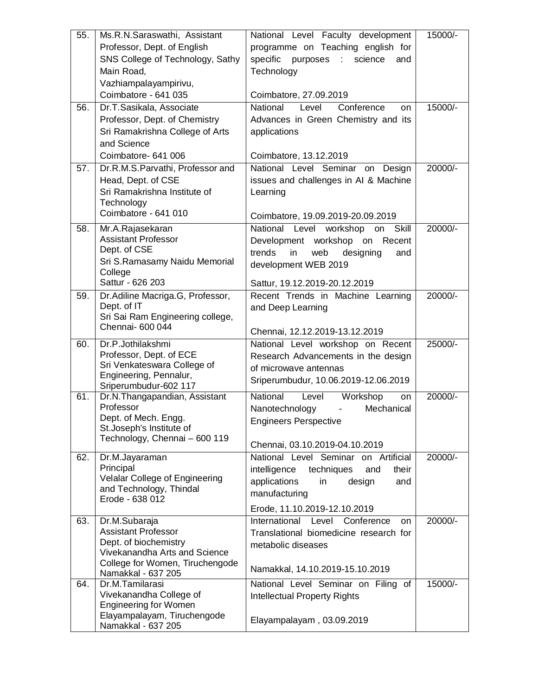| 55. | Ms.R.N.Saraswathi, Assistant                              | National Level Faculty development              | 15000/- |
|-----|-----------------------------------------------------------|-------------------------------------------------|---------|
|     | Professor, Dept. of English                               | programme on Teaching english for               |         |
|     | SNS College of Technology, Sathy                          | specific purposes :<br>science<br>and           |         |
|     | Main Road,                                                | Technology                                      |         |
|     | Vazhiampalayampirivu,                                     |                                                 |         |
|     | Coimbatore - 641 035                                      | Coimbatore, 27.09.2019                          |         |
| 56. | Dr.T.Sasikala, Associate                                  | National<br>Level<br>Conference<br>on           | 15000/- |
|     | Professor, Dept. of Chemistry                             | Advances in Green Chemistry and its             |         |
|     | Sri Ramakrishna College of Arts                           | applications                                    |         |
|     | and Science                                               |                                                 |         |
|     | Coimbatore- 641 006                                       | Coimbatore, 13.12.2019                          |         |
| 57. | Dr.R.M.S.Parvathi, Professor and                          | National Level Seminar on<br>Design             | 20000/- |
|     | Head, Dept. of CSE                                        | issues and challenges in AI & Machine           |         |
|     | Sri Ramakrishna Institute of                              | Learning                                        |         |
|     | Technology<br>Coimbatore - 641 010                        |                                                 |         |
|     |                                                           | Coimbatore, 19.09.2019-20.09.2019               |         |
| 58. | Mr.A.Rajasekaran<br><b>Assistant Professor</b>            | National Level workshop<br>on Skill             | 20000/- |
|     | Dept. of CSE                                              | Development workshop on Recent<br>trends<br>web |         |
|     | Sri S.Ramasamy Naidu Memorial                             | designing<br>in<br>and<br>development WEB 2019  |         |
|     | College                                                   |                                                 |         |
|     | Sattur - 626 203                                          | Sattur, 19.12.2019-20.12.2019                   |         |
| 59. | Dr.Adiline Macriga.G, Professor,                          | Recent Trends in Machine Learning               | 20000/- |
|     | Dept. of IT                                               | and Deep Learning                               |         |
|     | Sri Sai Ram Engineering college,<br>Chennai- 600 044      |                                                 |         |
|     |                                                           | Chennai, 12.12.2019-13.12.2019                  |         |
| 60. | Dr.P.Jothilakshmi                                         | National Level workshop on Recent               | 25000/- |
|     | Professor, Dept. of ECE                                   | Research Advancements in the design             |         |
|     | Sri Venkateswara College of<br>Engineering, Pennalur,     | of microwave antennas                           |         |
|     | Sriperumbudur-602 117                                     | Sriperumbudur, 10.06.2019-12.06.2019            |         |
| 61. | Dr.N.Thangapandian, Assistant                             | National<br>Level<br>Workshop<br>on             | 20000/- |
|     | Professor                                                 | Nanotechnology<br>Mechanical<br>$\blacksquare$  |         |
|     | Dept. of Mech. Engg.                                      | <b>Engineers Perspective</b>                    |         |
|     | St.Joseph's Institute of<br>Technology, Chennai - 600 119 |                                                 |         |
|     |                                                           | Chennai, 03.10.2019-04.10.2019                  |         |
| 62. | Dr.M.Jayaraman                                            | National Level Seminar on Artificial            | 20000/- |
|     | Principal<br>Velalar College of Engineering               | intelligence<br>techniques<br>and<br>their      |         |
|     | and Technology, Thindal                                   | applications<br>in<br>design<br>and             |         |
|     | Erode - 638 012                                           | manufacturing                                   |         |
|     |                                                           | Erode, 11.10.2019-12.10.2019                    |         |
| 63. | Dr.M.Subaraja                                             | International<br>Level<br>Conference<br>on      | 20000/- |
|     | <b>Assistant Professor</b>                                | Translational biomedicine research for          |         |
|     | Dept. of biochemistry<br>Vivekanandha Arts and Science    | metabolic diseases                              |         |
|     | College for Women, Tiruchengode                           |                                                 |         |
|     | Namakkal - 637 205                                        | Namakkal, 14.10.2019-15.10.2019                 |         |
| 64. | Dr.M.Tamilarasi                                           | National Level Seminar on Filing of             | 15000/- |
|     | Vivekanandha College of<br><b>Engineering for Women</b>   | <b>Intellectual Property Rights</b>             |         |
|     | Elayampalayam, Tiruchengode                               |                                                 |         |
|     | Namakkal - 637 205                                        | Elayampalayam, 03.09.2019                       |         |